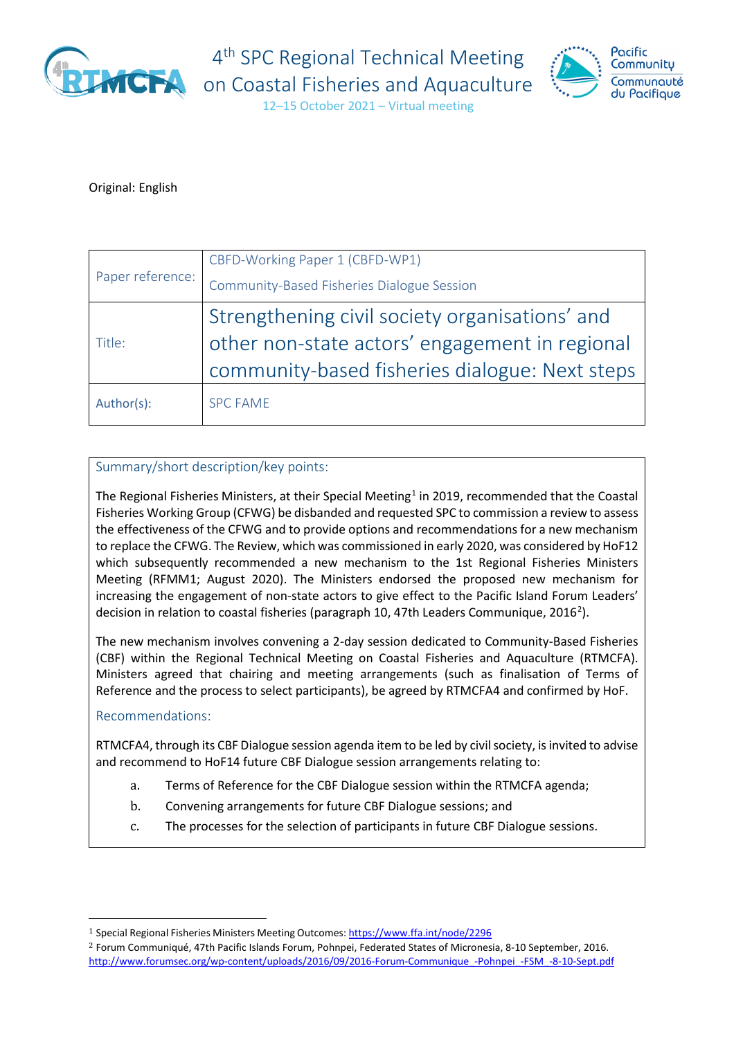

4<sup>th</sup> SPC Regional Technical Meeting



12–15 October 2021 – Virtual meeting

### Original: English

| Paper reference: | CBFD-Working Paper 1 (CBFD-WP1)                |
|------------------|------------------------------------------------|
|                  | Community-Based Fisheries Dialogue Session     |
| Title:           | Strengthening civil society organisations' and |
|                  | other non-state actors' engagement in regional |
|                  | community-based fisheries dialogue: Next steps |
| Author(s):       | <b>SPC FAME</b>                                |

### Summary/short description/key points:

The Regional Fisheries Ministers, at their Special Meeting<sup>[1](#page-0-0)</sup> in 2019, recommended that the Coastal Fisheries Working Group (CFWG) be disbanded and requested SPC to commission a review to assess the effectiveness of the CFWG and to provide options and recommendations for a new mechanism to replace the CFWG. The Review, which was commissioned in early 2020, was considered by HoF12 which subsequently recommended a new mechanism to the 1st Regional Fisheries Ministers Meeting (RFMM1; August 2020). The Ministers endorsed the proposed new mechanism for increasing the engagement of non-state actors to give effect to the Pacific Island Forum Leaders' decision in relation to coastal fisheries (paragraph 10, 47th Leaders Communique, [2](#page-0-1)016<sup>2</sup>).

The new mechanism involves convening a 2-day session dedicated to Community-Based Fisheries (CBF) within the Regional Technical Meeting on Coastal Fisheries and Aquaculture (RTMCFA). Ministers agreed that chairing and meeting arrangements (such as finalisation of Terms of Reference and the process to select participants), be agreed by RTMCFA4 and confirmed by HoF.

### Recommendations:

RTMCFA4, through its CBF Dialogue session agenda item to be led by civil society, is invited to advise and recommend to HoF14 future CBF Dialogue session arrangements relating to:

- a. Terms of Reference for the CBF Dialogue session within the RTMCFA agenda;
- b. Convening arrangements for future CBF Dialogue sessions; and
- c. The processes for the selection of participants in future CBF Dialogue sessions.

<span id="page-0-0"></span><sup>&</sup>lt;sup>1</sup> Special Regional Fisheries Ministers Meeting Outcomes: <https://www.ffa.int/node/2296>

<span id="page-0-1"></span><sup>2</sup> Forum Communiqué, 47th Pacific Islands Forum, Pohnpei, Federated States of Micronesia, 8-10 September, 2016. http://www.forumsec.org/wp-content/uploads/2016/09/2016-Forum-Communique -Pohnpei -FSM -8-10-Sept.pdf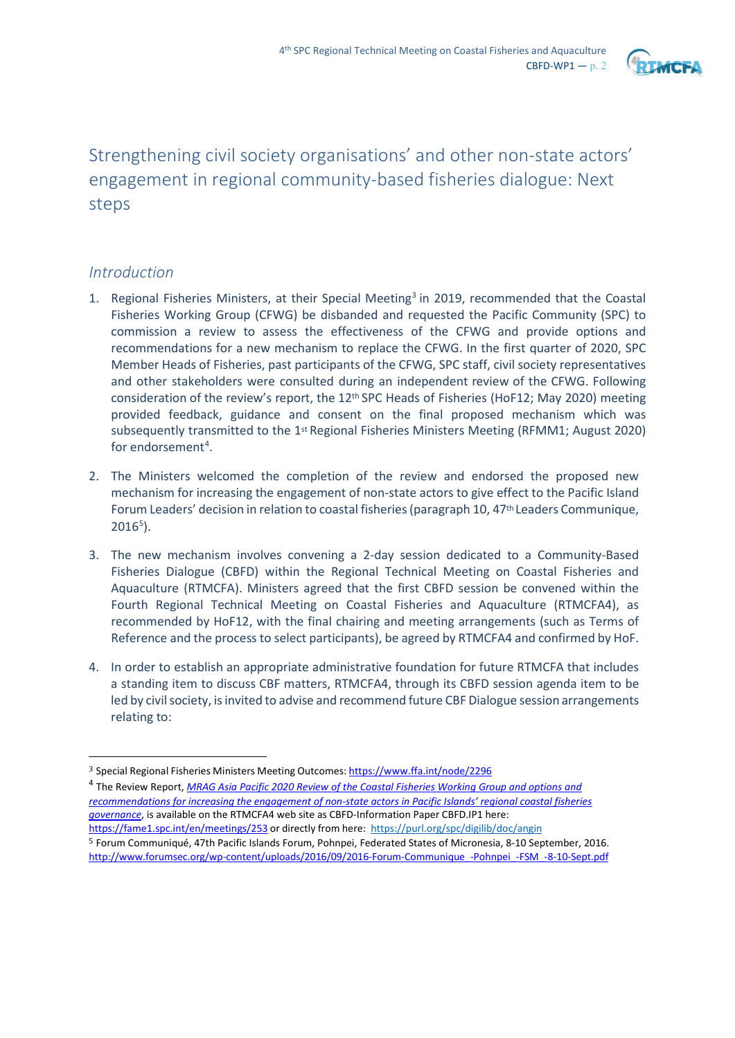

# Strengthening civil society organisations' and other non-state actors' engagement in regional community-based fisheries dialogue: Next steps

## *Introduction*

- 1. Regional Fisheries Ministers, at their Special Meeting<sup>[3](#page-1-0)</sup> in 2019, recommended that the Coastal Fisheries Working Group (CFWG) be disbanded and requested the Pacific Community (SPC) to commission a review to assess the effectiveness of the CFWG and provide options and recommendations for a new mechanism to replace the CFWG. In the first quarter of 2020, SPC Member Heads of Fisheries, past participants of the CFWG, SPC staff, civil society representatives and other stakeholders were consulted during an independent review of the CFWG. Following consideration of the review's report, the 12<sup>th</sup> SPC Heads of Fisheries (HoF12; May 2020) meeting provided feedback, guidance and consent on the final proposed mechanism which was subsequently transmitted to the 1<sup>st</sup> Regional Fisheries Ministers Meeting (RFMM1; August 2020) for endorsement<sup>[4](#page-1-1)</sup>.
- 2. The Ministers welcomed the completion of the review and endorsed the proposed new mechanism for increasing the engagement of non-state actors to give effect to the Pacific Island Forum Leaders' decision in relation to coastal fisheries (paragraph 10, 47th Leaders Communique,  $2016<sup>5</sup>$  $2016<sup>5</sup>$  $2016<sup>5</sup>$ ).
- 3. The new mechanism involves convening a 2-day session dedicated to a Community-Based Fisheries Dialogue (CBFD) within the Regional Technical Meeting on Coastal Fisheries and Aquaculture (RTMCFA). Ministers agreed that the first CBFD session be convened within the Fourth Regional Technical Meeting on Coastal Fisheries and Aquaculture (RTMCFA4), as recommended by HoF12, with the final chairing and meeting arrangements (such as Terms of Reference and the process to select participants), be agreed by RTMCFA4 and confirmed by HoF.
- 4. In order to establish an appropriate administrative foundation for future RTMCFA that includes a standing item to discuss CBF matters, RTMCFA4, through its CBFD session agenda item to be led by civil society, is invited to advise and recommend future CBF Dialogue session arrangements relating to:

<span id="page-1-0"></span><sup>3</sup> Special Regional Fisheries Ministers Meeting Outcomes: <https://www.ffa.int/node/2296>

<span id="page-1-2"></span><span id="page-1-1"></span><sup>4</sup> The Review Report, *[MRAG Asia Pacific 2020 Review of the Coastal Fisheries Working Group and options and](https://purl.org/spc/digilib/doc/angin)  [recommendations for increasing the engagement of non-state actors in Pacific Islands' regional coastal fisheries](https://purl.org/spc/digilib/doc/angin)  [governance](https://purl.org/spc/digilib/doc/angin)*, is available on the RTMCFA4 web site as CBFD-Information Paper CBFD.IP1 here: <https://fame1.spc.int/en/meetings/253> or directly from here:<https://purl.org/spc/digilib/doc/angin> 5 Forum Communiqué, 47th Pacific Islands Forum, Pohnpei, Federated States of Micronesia, 8-10 September, 2016. [http://www.forumsec.org/wp-content/uploads/2016/09/2016-Forum-Communique\\_-Pohnpei\\_-FSM\\_-8-10-Sept.pdf](http://www.forumsec.org/wp-content/uploads/2016/09/2016-Forum-Communique_-Pohnpei_-FSM_-8-10-Sept.pdf)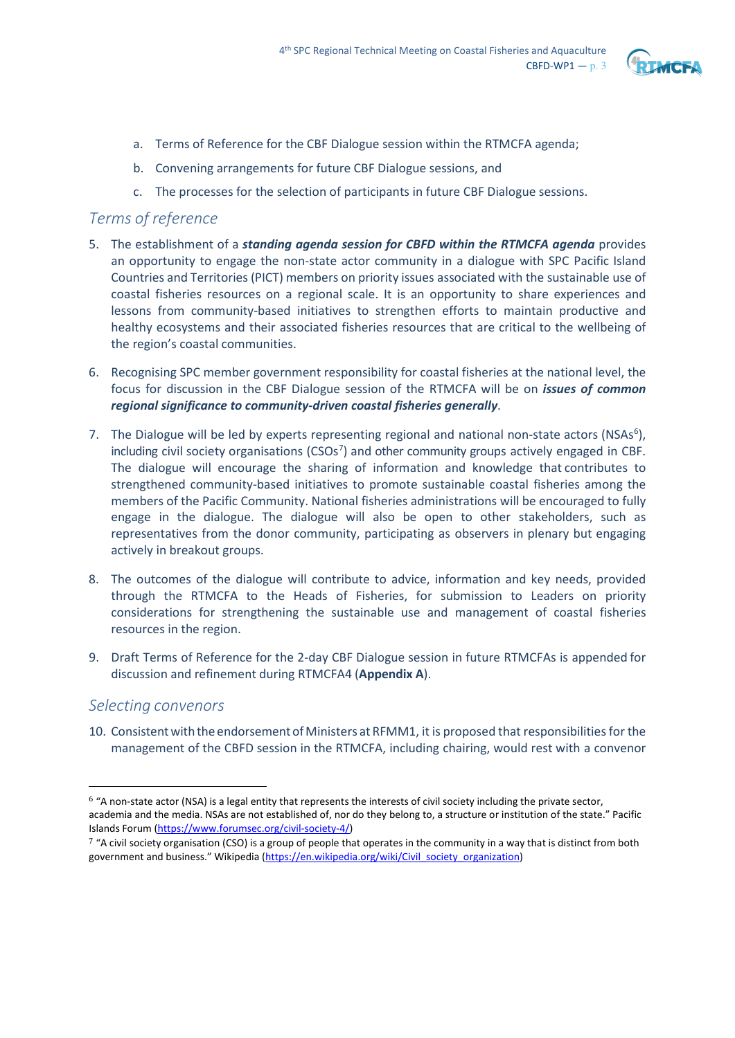

- a. Terms of Reference for the CBF Dialogue session within the RTMCFA agenda;
- b. Convening arrangements for future CBF Dialogue sessions, and
- c. The processes for the selection of participants in future CBF Dialogue sessions.

## *Terms of reference*

- 5. The establishment of a *standing agenda session for CBFD within the RTMCFA agenda* provides an opportunity to engage the non-state actor community in a dialogue with SPC Pacific Island Countries and Territories (PICT) members on priority issues associated with the sustainable use of coastal fisheries resources on a regional scale. It is an opportunity to share experiences and lessons from community-based initiatives to strengthen efforts to maintain productive and healthy ecosystems and their associated fisheries resources that are critical to the wellbeing of the region's coastal communities.
- 6. Recognising SPC member government responsibility for coastal fisheries at the national level, the focus for discussion in the CBF Dialogue session of the RTMCFA will be on *issues of common regional significance to community-driven coastal fisheries generally*.
- 7. The Dialogue will be led by experts representing regional and national non-state actors (NSAs<sup>[6](#page-2-0)</sup>), including civil society organisations (CSOs<sup>[7](#page-2-1)</sup>) and other community groups actively engaged in CBF. The dialogue will encourage the sharing of information and knowledge that contributes to strengthened community-based initiatives to promote sustainable coastal fisheries among the members of the Pacific Community. National fisheries administrations will be encouraged to fully engage in the dialogue. The dialogue will also be open to other stakeholders, such as representatives from the donor community, participating as observers in plenary but engaging actively in breakout groups.
- 8. The outcomes of the dialogue will contribute to advice, information and key needs, provided through the RTMCFA to the Heads of Fisheries, for submission to Leaders on priority considerations for strengthening the sustainable use and management of coastal fisheries resources in the region.
- 9. Draft Terms of Reference for the 2-day CBF Dialogue session in future RTMCFAs is appended for discussion and refinement during RTMCFA4 (**Appendix A**).

### *Selecting convenors*

10. Consistent with the endorsement of Ministers at RFMM1, it is proposed that responsibilities for the management of the CBFD session in the RTMCFA, including chairing, would rest with a convenor

<span id="page-2-0"></span><sup>6</sup> "A non-state actor (NSA) is a legal entity that represents the interests of civil society including the private sector, academia and the media. NSAs are not established of, nor do they belong to, a structure or institution of the state." Pacific Islands Forum [\(https://www.forumsec.org/civil-society-4/\)](https://www.forumsec.org/civil-society-4/)

<span id="page-2-1"></span> $7$  "A civil society organisation (CSO) is a group of people that operates in the community in a way that is distinct from both government and business." Wikipedia [\(https://en.wikipedia.org/wiki/Civil\\_society\\_organization\)](https://en.wikipedia.org/wiki/Civil_society_organization)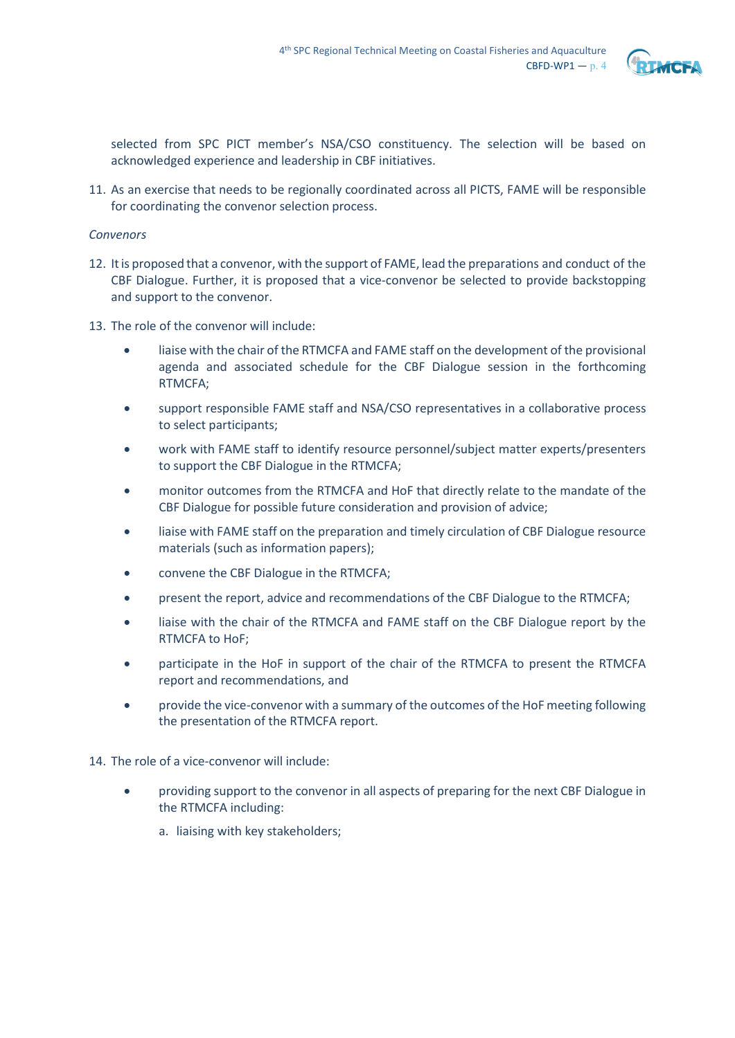

selected from SPC PICT member's NSA/CSO constituency. The selection will be based on acknowledged experience and leadership in CBF initiatives.

11. As an exercise that needs to be regionally coordinated across all PICTS, FAME will be responsible for coordinating the convenor selection process.

### *Convenors*

- 12. Itis proposed that a convenor, with the support of FAME, lead the preparations and conduct of the CBF Dialogue. Further, it is proposed that a vice-convenor be selected to provide backstopping and support to the convenor.
- 13. The role of the convenor will include:
	- liaise with the chair of the RTMCFA and FAME staff on the development of the provisional agenda and associated schedule for the CBF Dialogue session in the forthcoming RTMCFA;
	- support responsible FAME staff and NSA/CSO representatives in a collaborative process to select participants;
	- work with FAME staff to identify resource personnel/subject matter experts/presenters to support the CBF Dialogue in the RTMCFA;
	- monitor outcomes from the RTMCFA and HoF that directly relate to the mandate of the CBF Dialogue for possible future consideration and provision of advice;
	- liaise with FAME staff on the preparation and timely circulation of CBF Dialogue resource materials (such as information papers);
	- convene the CBF Dialogue in the RTMCFA;
	- present the report, advice and recommendations of the CBF Dialogue to the RTMCFA;
	- liaise with the chair of the RTMCFA and FAME staff on the CBF Dialogue report by the RTMCFA to HoF;
	- participate in the HoF in support of the chair of the RTMCFA to present the RTMCFA report and recommendations, and
	- provide the vice-convenor with a summary of the outcomes of the HoF meeting following the presentation of the RTMCFA report.
- 14. The role of a vice-convenor will include:
	- providing support to the convenor in all aspects of preparing for the next CBF Dialogue in the RTMCFA including:
		- a. liaising with key stakeholders;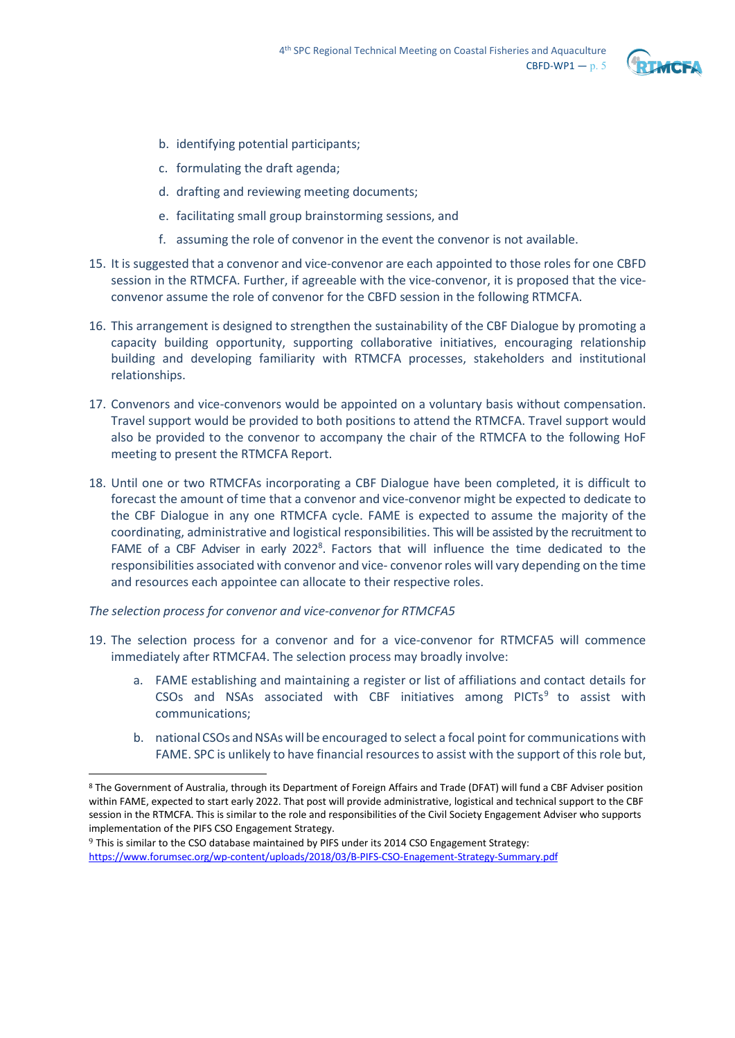

- b. identifying potential participants;
- c. formulating the draft agenda;
- d. drafting and reviewing meeting documents;
- e. facilitating small group brainstorming sessions, and
- f. assuming the role of convenor in the event the convenor is not available.
- 15. It is suggested that a convenor and vice-convenor are each appointed to those roles for one CBFD session in the RTMCFA. Further, if agreeable with the vice-convenor, it is proposed that the viceconvenor assume the role of convenor for the CBFD session in the following RTMCFA.
- 16. This arrangement is designed to strengthen the sustainability of the CBF Dialogue by promoting a capacity building opportunity, supporting collaborative initiatives, encouraging relationship building and developing familiarity with RTMCFA processes, stakeholders and institutional relationships.
- 17. Convenors and vice-convenors would be appointed on a voluntary basis without compensation. Travel support would be provided to both positions to attend the RTMCFA. Travel support would also be provided to the convenor to accompany the chair of the RTMCFA to the following HoF meeting to present the RTMCFA Report.
- 18. Until one or two RTMCFAs incorporating a CBF Dialogue have been completed, it is difficult to forecast the amount of time that a convenor and vice-convenor might be expected to dedicate to the CBF Dialogue in any one RTMCFA cycle. FAME is expected to assume the majority of the coordinating, administrative and logistical responsibilities. This will be assisted by the recruitment to FAME of a CBF Adviser in early  $2022<sup>8</sup>$  $2022<sup>8</sup>$  $2022<sup>8</sup>$ . Factors that will influence the time dedicated to the responsibilities associated with convenor and vice- convenor roles will vary depending on the time and resources each appointee can allocate to their respective roles.

*The selection process for convenor and vice-convenor for RTMCFA5*

- 19. The selection process for a convenor and for a vice-convenor for RTMCFA5 will commence immediately after RTMCFA4. The selection process may broadly involve:
	- a. FAME establishing and maintaining a register or list of affiliations and contact details for CSOs and NSAs associated with CBF initiatives among  $PICTs<sup>9</sup>$  $PICTs<sup>9</sup>$  $PICTs<sup>9</sup>$  to assist with communications;
	- b. national CSOs and NSAs will be encouraged to select a focal point for communications with FAME. SPC is unlikely to have financial resources to assist with the support of this role but,

<span id="page-4-1"></span>9 This is similar to the CSO database maintained by PIFS under its 2014 CSO Engagement Strategy: <https://www.forumsec.org/wp-content/uploads/2018/03/B-PIFS-CSO-Enagement-Strategy-Summary.pdf>

<span id="page-4-0"></span><sup>8</sup> The Government of Australia, through its Department of Foreign Affairs and Trade (DFAT) will fund a CBF Adviser position within FAME, expected to start early 2022. That post will provide administrative, logistical and technical support to the CBF session in the RTMCFA. This is similar to the role and responsibilities of the Civil Society Engagement Adviser who supports implementation of the PIFS CSO Engagement Strategy.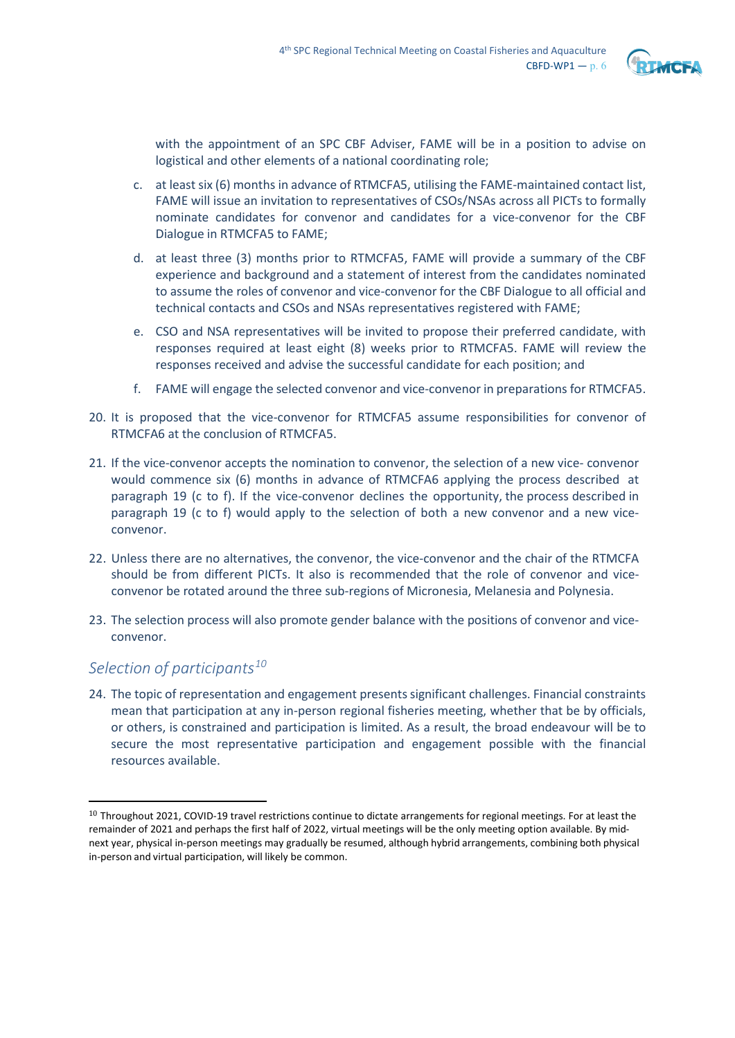

with the appointment of an SPC CBF Adviser, FAME will be in a position to advise on logistical and other elements of a national coordinating role;

- c. at least six (6) months in advance of RTMCFA5, utilising the FAME-maintained contact list, FAME will issue an invitation to representatives of CSOs/NSAs across all PICTs to formally nominate candidates for convenor and candidates for a vice-convenor for the CBF Dialogue in RTMCFA5 to FAME;
- d. at least three (3) months prior to RTMCFA5, FAME will provide a summary of the CBF experience and background and a statement of interest from the candidates nominated to assume the roles of convenor and vice-convenor for the CBF Dialogue to all official and technical contacts and CSOs and NSAs representatives registered with FAME;
- e. CSO and NSA representatives will be invited to propose their preferred candidate, with responses required at least eight (8) weeks prior to RTMCFA5. FAME will review the responses received and advise the successful candidate for each position; and
- f. FAME will engage the selected convenor and vice-convenor in preparations for RTMCFA5.
- 20. It is proposed that the vice-convenor for RTMCFA5 assume responsibilities for convenor of RTMCFA6 at the conclusion of RTMCFA5.
- 21. If the vice-convenor accepts the nomination to convenor, the selection of a new vice- convenor would commence six (6) months in advance of RTMCFA6 applying the process described at paragraph 19 (c to f). If the vice-convenor declines the opportunity, the process described in paragraph 19 (c to f) would apply to the selection of both a new convenor and a new viceconvenor.
- 22. Unless there are no alternatives, the convenor, the vice-convenor and the chair of the RTMCFA should be from different PICTs. It also is recommended that the role of convenor and viceconvenor be rotated around the three sub-regions of Micronesia, Melanesia and Polynesia.
- 23. The selection process will also promote gender balance with the positions of convenor and viceconvenor.

## *Selection of participants[10](#page-5-0)*

24. The topic of representation and engagement presents significant challenges. Financial constraints mean that participation at any in-person regional fisheries meeting, whether that be by officials, or others, is constrained and participation is limited. As a result, the broad endeavour will be to secure the most representative participation and engagement possible with the financial resources available.

<span id="page-5-0"></span><sup>10</sup> Throughout 2021, COVID-19 travel restrictions continue to dictate arrangements for regional meetings. For at least the remainder of 2021 and perhaps the first half of 2022, virtual meetings will be the only meeting option available. By midnext year, physical in-person meetings may gradually be resumed, although hybrid arrangements, combining both physical in-person and virtual participation, will likely be common.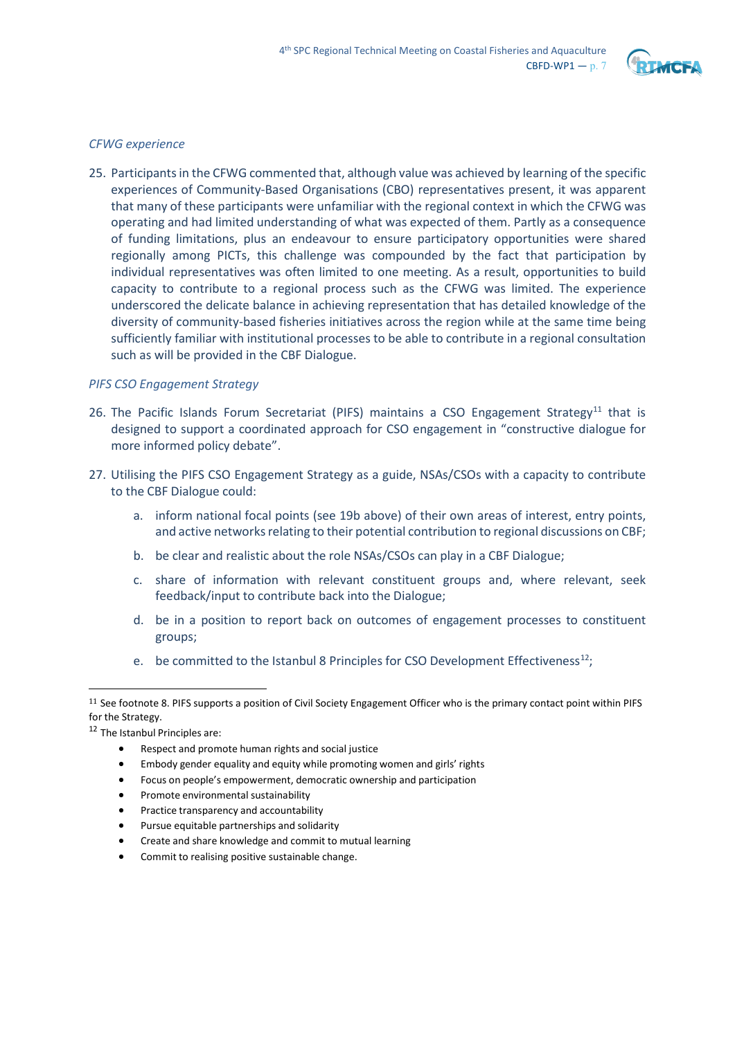

### *CFWG experience*

25. Participants in the CFWG commented that, although value was achieved by learning of the specific experiences of Community-Based Organisations (CBO) representatives present, it was apparent that many of these participants were unfamiliar with the regional context in which the CFWG was operating and had limited understanding of what was expected of them. Partly as a consequence of funding limitations, plus an endeavour to ensure participatory opportunities were shared regionally among PICTs, this challenge was compounded by the fact that participation by individual representatives was often limited to one meeting. As a result, opportunities to build capacity to contribute to a regional process such as the CFWG was limited. The experience underscored the delicate balance in achieving representation that has detailed knowledge of the diversity of community-based fisheries initiatives across the region while at the same time being sufficiently familiar with institutional processes to be able to contribute in a regional consultation such as will be provided in the CBF Dialogue.

#### *PIFS CSO Engagement Strategy*

- 26. The Pacific Islands Forum Secretariat (PIFS) maintains a CSO Engagement Strategy<sup>[11](#page-6-0)</sup> that is designed to support a coordinated approach for CSO engagement in "constructive dialogue for more informed policy debate".
- 27. Utilising the PIFS CSO Engagement Strategy as a guide, NSAs/CSOs with a capacity to contribute to the CBF Dialogue could:
	- a. inform national focal points (see 19b above) of their own areas of interest, entry points, and active networks relating to their potential contribution to regional discussions on CBF;
	- b. be clear and realistic about the role NSAs/CSOs can play in a CBF Dialogue;
	- c. share of information with relevant constituent groups and, where relevant, seek feedback/input to contribute back into the Dialogue;
	- d. be in a position to report back on outcomes of engagement processes to constituent groups;
	- e. be committed to the Istanbul 8 Principles for CSO Development Effectiveness<sup>12</sup>;

- Focus on people's empowerment, democratic ownership and participation
- Promote environmental sustainability
- Practice transparency and accountability
- Pursue equitable partnerships and solidarity
- Create and share knowledge and commit to mutual learning
- Commit to realising positive sustainable change.

<span id="page-6-0"></span> $11$  See footnote 8. PIFS supports a position of Civil Society Engagement Officer who is the primary contact point within PIFS for the Strategy.

<span id="page-6-1"></span><sup>12</sup> The Istanbul Principles are:

<sup>•</sup> Respect and promote human rights and social justice

<sup>•</sup> Embody gender equality and equity while promoting women and girls' rights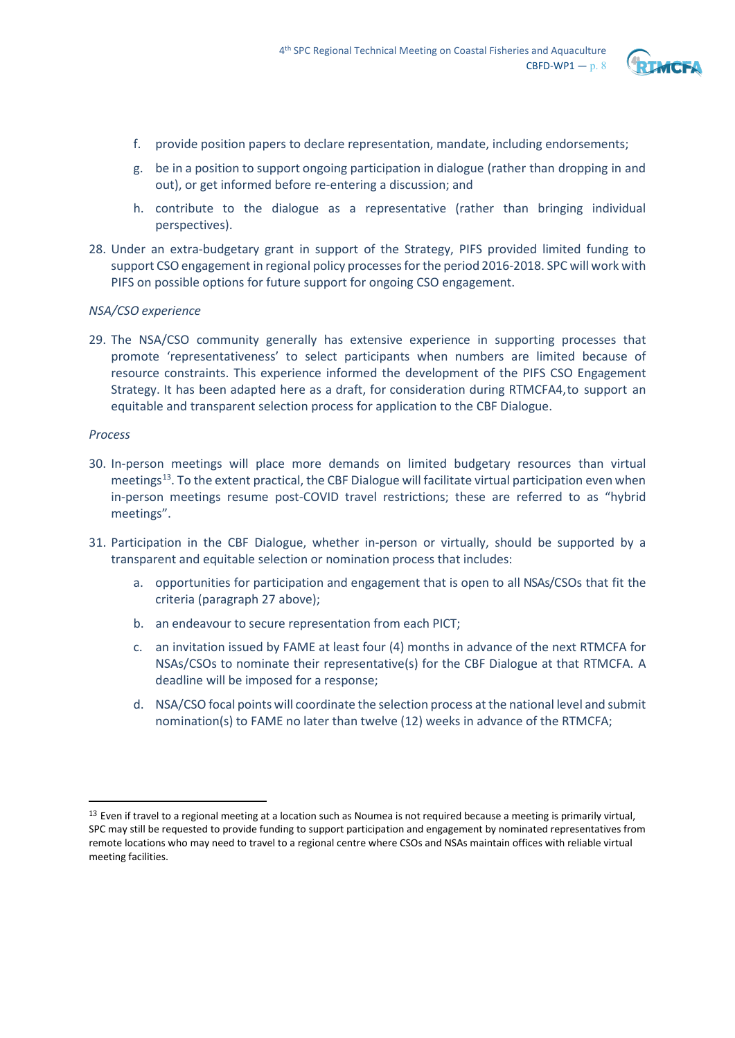

- f. provide position papers to declare representation, mandate, including endorsements;
- g. be in a position to support ongoing participation in dialogue (rather than dropping in and out), or get informed before re-entering a discussion; and
- h. contribute to the dialogue as a representative (rather than bringing individual perspectives).
- 28. Under an extra-budgetary grant in support of the Strategy, PIFS provided limited funding to support CSO engagement in regional policy processes for the period 2016-2018. SPC will work with PIFS on possible options for future support for ongoing CSO engagement.

### *NSA/CSO experience*

29. The NSA/CSO community generally has extensive experience in supporting processes that promote 'representativeness' to select participants when numbers are limited because of resource constraints. This experience informed the development of the PIFS CSO Engagement Strategy. It has been adapted here as a draft, for consideration during RTMCFA4,to support an equitable and transparent selection process for application to the CBF Dialogue.

#### *Process*

- 30. In-person meetings will place more demands on limited budgetary resources than virtual meetings<sup>13</sup>. To the extent practical, the CBF Dialogue will facilitate virtual participation even when in-person meetings resume post-COVID travel restrictions; these are referred to as "hybrid meetings".
- 31. Participation in the CBF Dialogue, whether in-person or virtually, should be supported by a transparent and equitable selection or nomination process that includes:
	- a. opportunities for participation and engagement that is open to all NSAs/CSOs that fit the criteria (paragraph 27 above);
	- b. an endeavour to secure representation from each PICT;
	- c. an invitation issued by FAME at least four (4) months in advance of the next RTMCFA for NSAs/CSOs to nominate their representative(s) for the CBF Dialogue at that RTMCFA. A deadline will be imposed for a response;
	- d. NSA/CSO focal points will coordinate the selection process at the national level and submit nomination(s) to FAME no later than twelve (12) weeks in advance of the RTMCFA;

<span id="page-7-0"></span><sup>&</sup>lt;sup>13</sup> Even if travel to a regional meeting at a location such as Noumea is not required because a meeting is primarily virtual, SPC may still be requested to provide funding to support participation and engagement by nominated representatives from remote locations who may need to travel to a regional centre where CSOs and NSAs maintain offices with reliable virtual meeting facilities.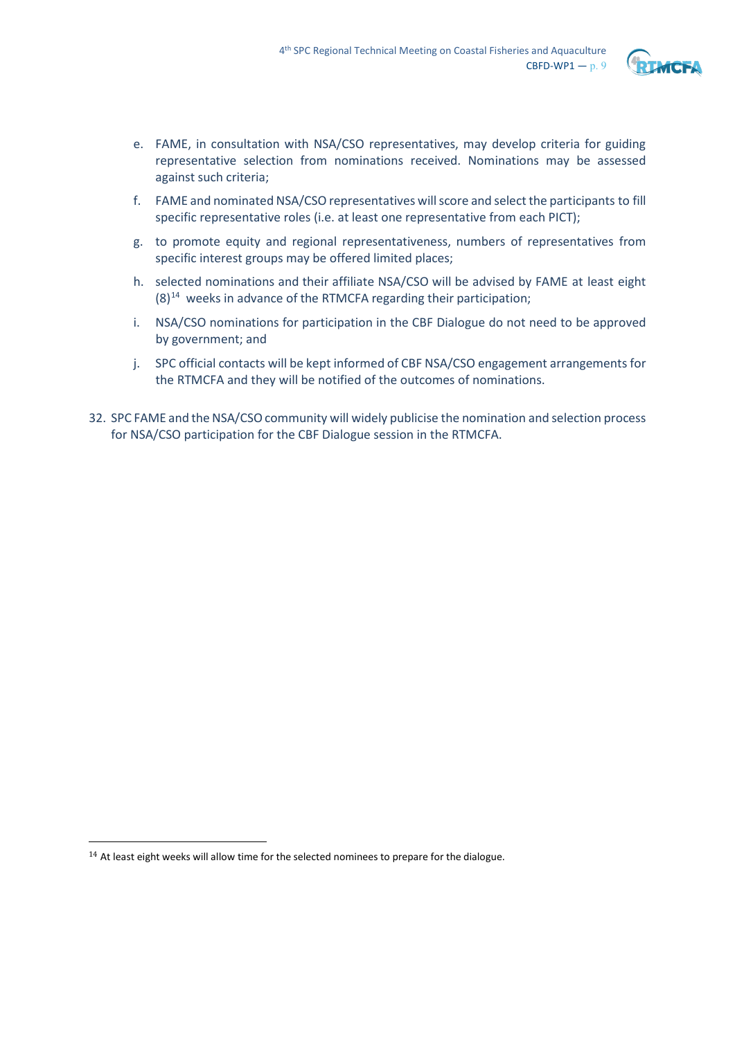

- e. FAME, in consultation with NSA/CSO representatives, may develop criteria for guiding representative selection from nominations received. Nominations may be assessed against such criteria;
- f. FAME and nominated NSA/CSO representatives willscore and selectthe participants to fill specific representative roles (i.e. at least one representative from each PICT);
- g. to promote equity and regional representativeness, numbers of representatives from specific interest groups may be offered limited places;
- h. selected nominations and their affiliate NSA/CSO will be advised by FAME at least eight  $(8)^{14}$  $(8)^{14}$  $(8)^{14}$  weeks in advance of the RTMCFA regarding their participation;
- i. NSA/CSO nominations for participation in the CBF Dialogue do not need to be approved by government; and
- j. SPC official contacts will be kept informed of CBF NSA/CSO engagement arrangements for the RTMCFA and they will be notified of the outcomes of nominations.
- 32. SPC FAME and the NSA/CSO community will widely publicise the nomination and selection process for NSA/CSO participation for the CBF Dialogue session in the RTMCFA.

<span id="page-8-0"></span> $14$  At least eight weeks will allow time for the selected nominees to prepare for the dialogue.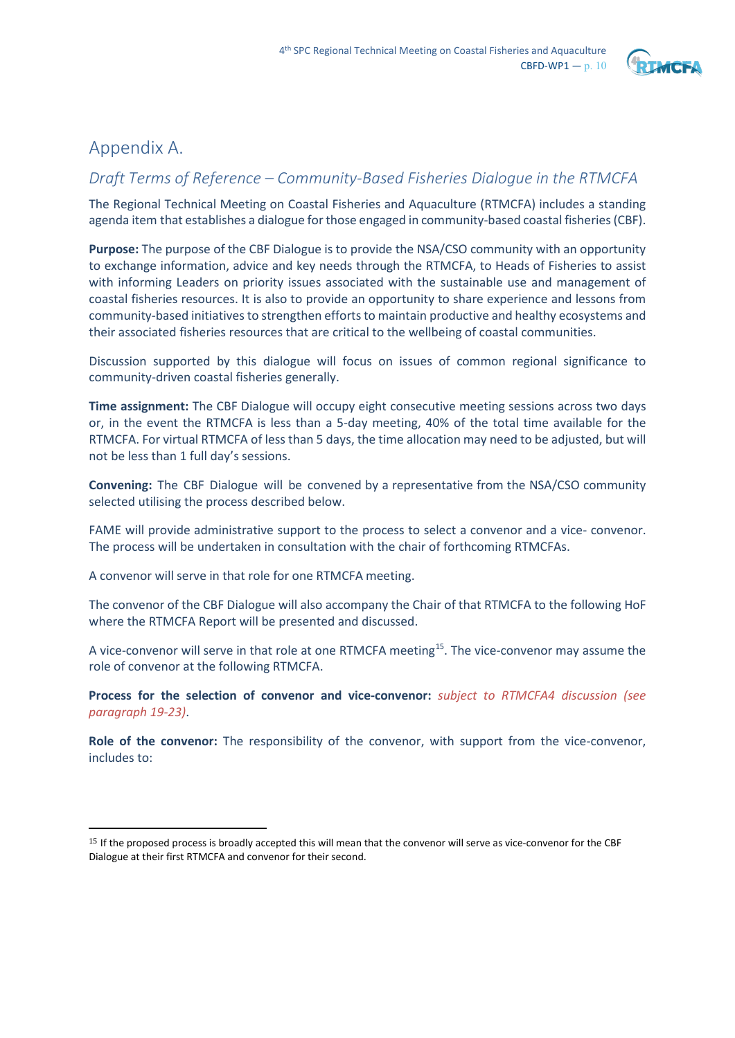

## Appendix A.

## *Draft Terms of Reference – Community-Based Fisheries Dialogue in the RTMCFA*

The Regional Technical Meeting on Coastal Fisheries and Aquaculture (RTMCFA) includes a standing agenda item that establishes a dialogue for those engaged in community-based coastal fisheries (CBF).

**Purpose:** The purpose of the CBF Dialogue is to provide the NSA/CSO community with an opportunity to exchange information, advice and key needs through the RTMCFA, to Heads of Fisheries to assist with informing Leaders on priority issues associated with the sustainable use and management of coastal fisheries resources. It is also to provide an opportunity to share experience and lessons from community-based initiatives to strengthen efforts to maintain productive and healthy ecosystems and their associated fisheries resources that are critical to the wellbeing of coastal communities.

Discussion supported by this dialogue will focus on issues of common regional significance to community-driven coastal fisheries generally.

**Time assignment:** The CBF Dialogue will occupy eight consecutive meeting sessions across two days or, in the event the RTMCFA is less than a 5-day meeting, 40% of the total time available for the RTMCFA. For virtual RTMCFA of less than 5 days, the time allocation may need to be adjusted, but will not be less than 1 full day's sessions.

**Convening:** The CBF Dialogue will be convened by a representative from the NSA/CSO community selected utilising the process described below.

FAME will provide administrative support to the process to select a convenor and a vice- convenor. The process will be undertaken in consultation with the chair of forthcoming RTMCFAs.

A convenor will serve in that role for one RTMCFA meeting.

The convenor of the CBF Dialogue will also accompany the Chair of that RTMCFA to the following HoF where the RTMCFA Report will be presented and discussed.

A vice-convenor will serve in that role at one RTMCFA meeting<sup>15</sup>. The vice-convenor may assume the role of convenor at the following RTMCFA.

**Process for the selection of convenor and vice-convenor:** *subject to RTMCFA4 discussion (see paragraph 19-23)*.

**Role of the convenor:** The responsibility of the convenor, with support from the vice-convenor, includes to:

<span id="page-9-0"></span><sup>&</sup>lt;sup>15</sup> If the proposed process is broadly accepted this will mean that the convenor will serve as vice-convenor for the CBF Dialogue at their first RTMCFA and convenor for their second.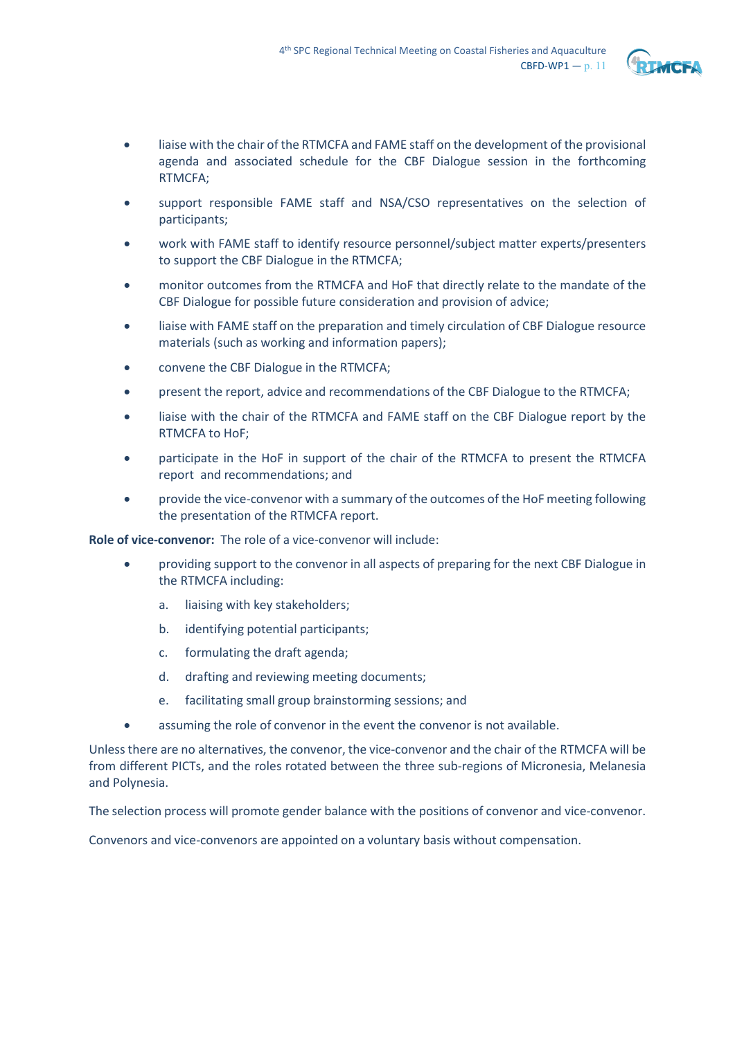

- liaise with the chair of the RTMCFA and FAME staff on the development of the provisional agenda and associated schedule for the CBF Dialogue session in the forthcoming RTMCFA;
- support responsible FAME staff and NSA/CSO representatives on the selection of participants;
- work with FAME staff to identify resource personnel/subject matter experts/presenters to support the CBF Dialogue in the RTMCFA;
- monitor outcomes from the RTMCFA and HoF that directly relate to the mandate of the CBF Dialogue for possible future consideration and provision of advice;
- liaise with FAME staff on the preparation and timely circulation of CBF Dialogue resource materials (such as working and information papers);
- convene the CBF Dialogue in the RTMCFA;
- present the report, advice and recommendations of the CBF Dialogue to the RTMCFA;
- liaise with the chair of the RTMCFA and FAME staff on the CBF Dialogue report by the RTMCFA to HoF;
- participate in the HoF in support of the chair of the RTMCFA to present the RTMCFA report and recommendations; and
- provide the vice-convenor with a summary of the outcomes of the HoF meeting following the presentation of the RTMCFA report.

**Role of vice-convenor:** The role of a vice-convenor will include:

- providing support to the convenor in all aspects of preparing for the next CBF Dialogue in the RTMCFA including:
	- a. liaising with key stakeholders;
	- b. identifying potential participants;
	- c. formulating the draft agenda;
	- d. drafting and reviewing meeting documents;
	- e. facilitating small group brainstorming sessions; and
- assuming the role of convenor in the event the convenor is not available.

Unless there are no alternatives, the convenor, the vice-convenor and the chair of the RTMCFA will be from different PICTs, and the roles rotated between the three sub-regions of Micronesia, Melanesia and Polynesia.

The selection process will promote gender balance with the positions of convenor and vice-convenor.

Convenors and vice-convenors are appointed on a voluntary basis without compensation.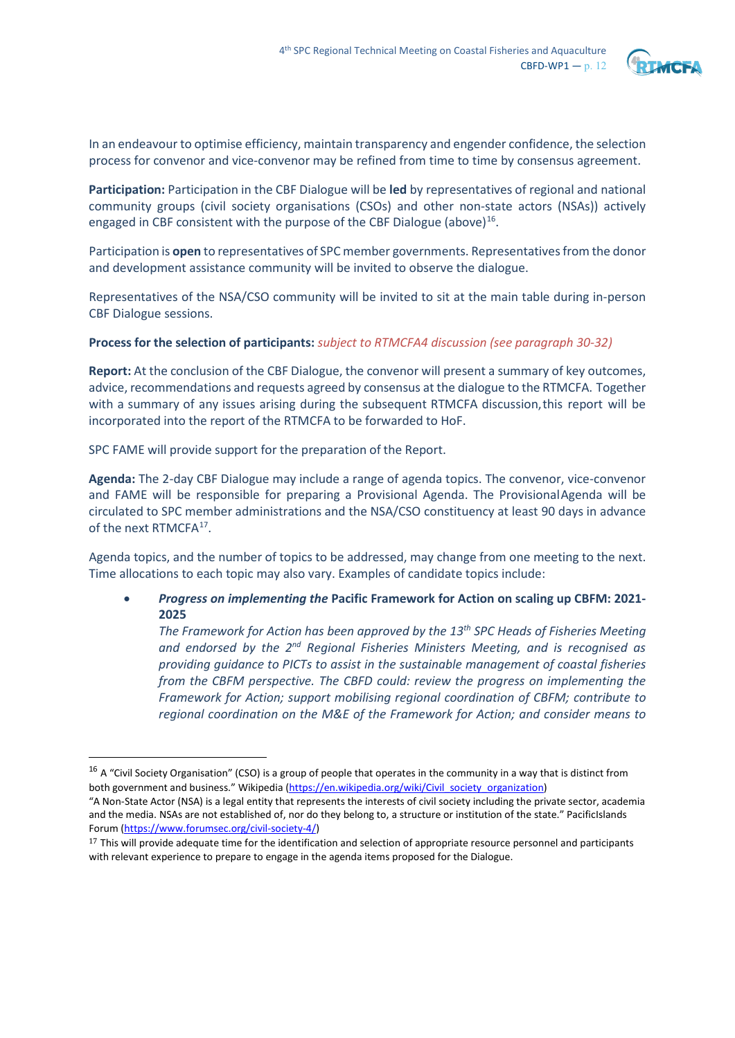

In an endeavour to optimise efficiency, maintain transparency and engender confidence, the selection process for convenor and vice-convenor may be refined from time to time by consensus agreement.

**Participation:** Participation in the CBF Dialogue will be **led** by representatives of regional and national community groups (civil society organisations (CSOs) and other non-state actors (NSAs)) actively engaged in CBF consistent with the purpose of the CBF Dialogue (above)<sup>16</sup>.

Participation is **open** to representatives of SPC member governments. Representatives from the donor and development assistance community will be invited to observe the dialogue.

Representatives of the NSA/CSO community will be invited to sit at the main table during in-person CBF Dialogue sessions.

### **Process for the selection of participants:** *subject to RTMCFA4 discussion (see paragraph 30-32)*

**Report:** At the conclusion of the CBF Dialogue, the convenor will present a summary of key outcomes, advice, recommendations and requests agreed by consensus at the dialogue to the RTMCFA. Together with a summary of any issues arising during the subsequent RTMCFA discussion,this report will be incorporated into the report of the RTMCFA to be forwarded to HoF.

SPC FAME will provide support for the preparation of the Report.

**Agenda:** The 2-day CBF Dialogue may include a range of agenda topics. The convenor, vice-convenor and FAME will be responsible for preparing a Provisional Agenda. The ProvisionalAgenda will be circulated to SPC member administrations and the NSA/CSO constituency at least 90 days in advance of the next RTMCFA<sup>17</sup>.

Agenda topics, and the number of topics to be addressed, may change from one meeting to the next. Time allocations to each topic may also vary. Examples of candidate topics include:

### • *Progress on implementing the* **Pacific Framework for Action on scaling up CBFM: 2021- 2025**

*The Framework for Action has been approved by the 13th SPC Heads of Fisheries Meeting and endorsed by the 2nd Regional Fisheries Ministers Meeting, and is recognised as providing guidance to PICTs to assist in the sustainable management of coastal fisheries from the CBFM perspective. The CBFD could: review the progress on implementing the Framework for Action; support mobilising regional coordination of CBFM; contribute to regional coordination on the M&E of the Framework for Action; and consider means to* 

<span id="page-11-0"></span> $16$  A "Civil Society Organisation" (CSO) is a group of people that operates in the community in a way that is distinct from both government and business." Wikipedi[a \(https://en.wikipedia.org/wiki/Civil\\_society\\_organization\)](https://en.wikipedia.org/wiki/Civil_society_organization)

<sup>&</sup>quot;A Non-State Actor (NSA) is a legal entity that represents the interests of civil society including the private sector, academia and the media. NSAs are not established of, nor do they belong to, a structure or institution of the state." PacificIslands Forum [\(https://www.forumsec.org/civil-society-4/\)](https://www.forumsec.org/civil-society-4/)

<span id="page-11-1"></span> $17$  This will provide adequate time for the identification and selection of appropriate resource personnel and participants with relevant experience to prepare to engage in the agenda items proposed for the Dialogue.